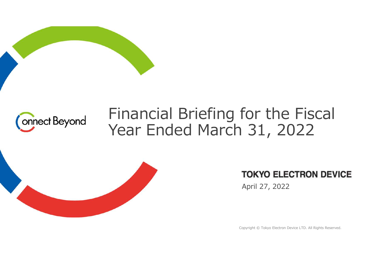



# Financial Briefing for the Fiscal Year Ended March 31, 2022



#### **TOKYO ELECTRON DEVICE**

April 27, 2022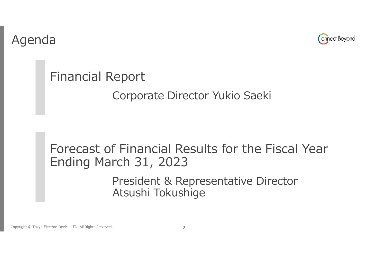Agenda



Financial Report

Corporate Director Yukio Saeki

### Forecast of Financial Results for the Fiscal Year Ending March 31, 2023

President & Representative Director Atsushi Tokushige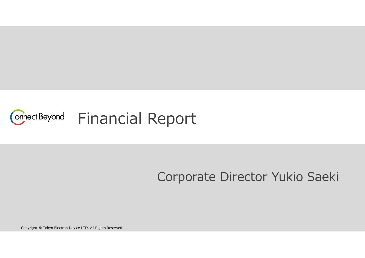

### Corporate Director Yukio Saeki

Copyright © Tokyo Electron Device LTD. All Rights Reserved. **322 Copyright Control**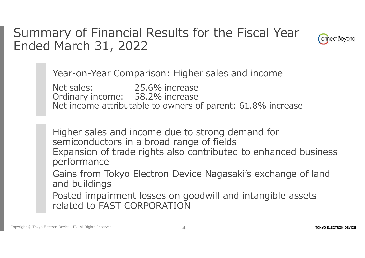### Summary of Financial Results for the Fiscal Year Ended March 31, 2022



Year-on-Year Comparison: Higher sales and income

Net sales: 25.6% increase Ordinary income: 58.2% increase Net income attributable to owners of parent: 61.8% increase

Higher sales and income due to strong demand for semiconductors in a broad range of fields Expansion of trade rights also contributed to enhanced business performance Gains from Tokyo Electron Device Nagasaki's exchange of land and buildings

Posted impairment losses on goodwill and intangible assets related to FAST CORPORATION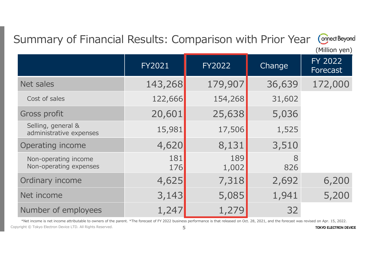#### **Onnect Beyond** Summary of Financial Results: Comparison with Prior Year

(Million yen)

|                                                | <b>FY2021</b> | <b>FY2022</b> | Change   | FY 2022<br>Forecast |
|------------------------------------------------|---------------|---------------|----------|---------------------|
| Net sales                                      | 143,268       | 179,907       | 36,639   | 172,000             |
| Cost of sales                                  | 122,666       | 154,268       | 31,602   |                     |
| Gross profit                                   | 20,601        | 25,638        | 5,036    |                     |
| Selling, general &<br>administrative expenses  | 15,981        | 17,506        | 1,525    |                     |
| Operating income                               | 4,620         | 8,131         | 3,510    |                     |
| Non-operating income<br>Non-operating expenses | 181<br>176    | 189<br>1,002  | 8<br>826 |                     |
| Ordinary income                                | 4,625         | 7,318         | 2,692    | 6,200               |
| Net income                                     | 3,143         | 5,085         | 1,941    | 5,200               |
| Number of employees                            | 1,247         | 1,279         | 32       |                     |

\*Net income is net income attributable to owners of the parent. \*The forecast of FY 2022 business performance is that released on Oct. 28, 2021, and the forecast was revised on Apr. 15, 2022. Copyright © Tokyo Electron Device LTD. All Rights Reserved. **5 TOKYO ELECTRON DEVICE**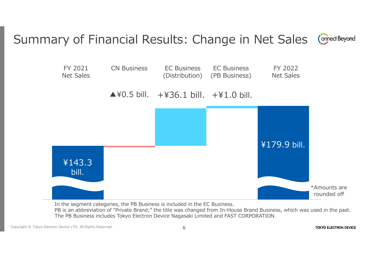#### Summary of Financial Results: Change in Net Sales **Connect Beyond**



In the segment categories, the PB Business is included in the EC Business.

PB is an abbreviation of "Private Brand;" the title was changed from In-House Brand Business, which was used in the past. The PB Business includes Tokyo Electron Device Nagasaki Limited and FAST CORPORATION.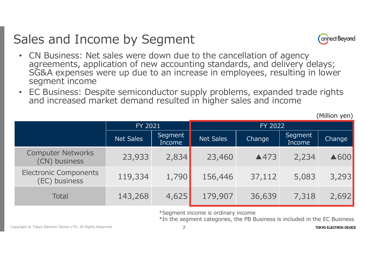### Sales and Income by Segment



(Million yen)

- CN Business: Net sales were down due to the cancellation of agency agreements, application of new accounting standards, and delivery delays; SG&A expenses were up due to an increase in employees, resulting in lower segment income
- EC Business: Despite semiconductor supply problems, expanded trade rights and increased market demand resulted in higher sales and income

|                                               | FY 2021          |                   | FY 2022          |        |                   |               |  |
|-----------------------------------------------|------------------|-------------------|------------------|--------|-------------------|---------------|--|
|                                               | <b>Net Sales</b> | Segment<br>Income | <b>Net Sales</b> | Change | Segment<br>Income | <b>Change</b> |  |
| <b>Computer Networks</b><br>(CN) business     | 23,933           | 2,834             | 23,460           | ▲473   | 2,234             | ▲600          |  |
| <b>Electronic Components</b><br>(EC) business | 119,334          | 1,790             | 156,446          | 37,112 | 5,083             | 3,293         |  |
| Total                                         | 143,268          | 4,625             | 179,907          | 36,639 | 7,318             | 2,692         |  |

\*Segment income is ordinary income

\*In the segment categories, the PB Business is included in the EC Business

Copyright © Tokyo Electron Device LTD. All Rights Reserved. **7**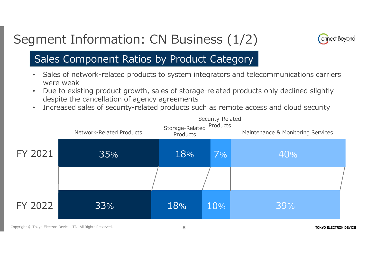# Segment Information: CN Business (1/2)



### Sales Component Ratios by Product Category

- Sales of network-related products to system integrators and telecommunications carriers were weak
- Due to existing product growth, sales of storage-related products only declined slightly despite the cancellation of agency agreements
- Increased sales of security-related products such as remote access and cloud security

|                | Network-Related Products | Storage-Related<br>Products | Security-Related<br>Products | Maintenance & Monitoring Services |  |
|----------------|--------------------------|-----------------------------|------------------------------|-----------------------------------|--|
| <b>FY 2021</b> | 35%                      | 18%                         | 7%                           | 40%                               |  |
|                |                          |                             |                              |                                   |  |
| FY 2022        | 33%                      | 18%                         | 10%                          | 39%                               |  |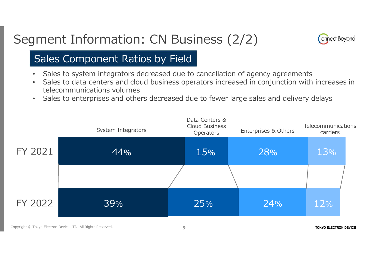# Segment Information: CN Business (2/2)



### Sales Component Ratios by Field

- Sales to system integrators decreased due to cancellation of agency agreements
- Sales to data centers and cloud business operators increased in conjunction with increases in telecommunications volumes
- Sales to enterprises and others decreased due to fewer large sales and delivery delays

|                | System Integrators | Data Centers &<br>Cloud Business<br><b>Operators</b> | Enterprises & Others | Telecommunications<br>carriers |  |
|----------------|--------------------|------------------------------------------------------|----------------------|--------------------------------|--|
| <b>FY 2021</b> | 15%<br>44%         |                                                      | 28%                  | 13%                            |  |
|                |                    |                                                      |                      |                                |  |
| FY 2022        | 39%                | 25%                                                  | 24%                  | 12%                            |  |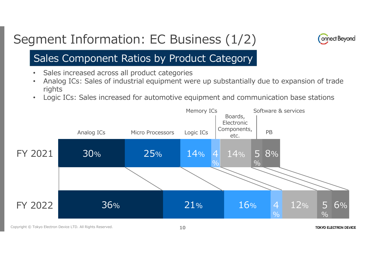# Segment Information: EC Business (1/2)



### Sales Component Ratios by Product Category

- Sales increased across all product categories
- Analog ICs: Sales of industrial equipment were up substantially due to expansion of trade rights
- Logic ICs: Sales increased for automotive equipment and communication base stations



Copyright © Tokyo Electron Device LTD. All Rights Reserved. **10**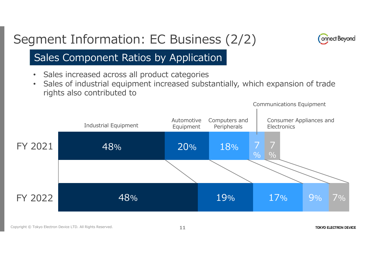# Segment Information: EC Business (2/2)



### Sales Component Ratios by Application

- Sales increased across all product categories
- Sales of industrial equipment increased substantially, which expansion of trade rights also contributed to



Copyright © Tokyo Electron Device LTD. All Rights Reserved. **11**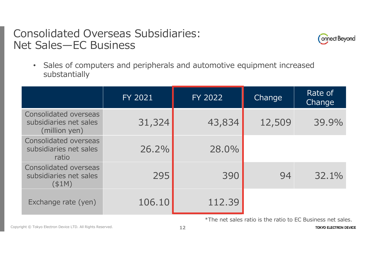#### Consolidated Overseas Subsidiaries: Net Sales—EC Business



• Sales of computers and peripherals and automotive equipment increased substantially

|                                                                    | <b>FY 2021</b> | FY 2022 | Change |       |
|--------------------------------------------------------------------|----------------|---------|--------|-------|
| Consolidated overseas<br>subsidiaries net sales<br>(million yen)   | 31,324         | 43,834  | 12,509 | 39.9% |
| <b>Consolidated overseas</b><br>subsidiaries net sales<br>ratio    | 26.2%          | 28.0%   |        |       |
| <b>Consolidated overseas</b><br>subsidiaries net sales<br>$(\$1M)$ | 295            | 390     | 94     | 32.1% |
| Exchange rate (yen)                                                | 106.10         | 112.39  |        |       |

\*The net sales ratio is the ratio to EC Business net sales.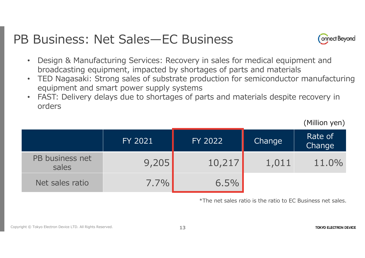### PB Business: Net Sales—EC Business



(Million yen)

- Design & Manufacturing Services: Recovery in sales for medical equipment and broadcasting equipment, impacted by shortages of parts and materials
- TED Nagasaki: Strong sales of substrate production for semiconductor manufacturing equipment and smart power supply systems
- FAST: Delivery delays due to shortages of parts and materials despite recovery in orders

|                          | FY 2021 | FY 2022 | Change | Rate of<br>Change |
|--------------------------|---------|---------|--------|-------------------|
| PB business net<br>sales | 9,205   | 10,217  | 1,011  | 11.0%             |
| Net sales ratio          | $7.7\%$ | 6.5%    |        |                   |

\*The net sales ratio is the ratio to EC Business net sales.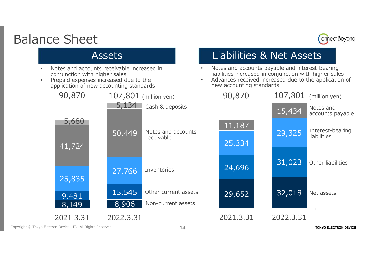### Balance Sheet



- Notes and accounts receivable increased in conjunction with higher sales
- Prepaid expenses increased due to the application of new accounting standards

#### Assets **Liabilities & Net Assets**

- Notes and accounts payable and interest-bearing liabilities increased in conjunction with higher sales
- Advances received increased due to the application of new accounting standards

| 90,870    | 107,801 (million yen) |                      |  | 90,870    |  |           | $107,801$ (million yen)         |  |
|-----------|-----------------------|----------------------|--|-----------|--|-----------|---------------------------------|--|
|           | 5,134                 | Cash & deposits      |  |           |  | 15,434    | Notes and<br>accounts payable   |  |
| 5,680     | 50,449                | Notes and accounts   |  | 11,187    |  | 29,325    | Interest-bearing<br>liabilities |  |
| 41,724    |                       | receivable           |  | 25,334    |  |           |                                 |  |
|           | 27,766                | Inventories          |  | 24,696    |  | 31,023    | Other liabilities               |  |
| 25,835    |                       |                      |  |           |  |           |                                 |  |
| 9,481     | 15,545                | Other current assets |  | 29,652    |  | 32,018    | Net assets                      |  |
| 8,149     | 8,906                 | Non-current assets   |  |           |  |           |                                 |  |
| 2021.3.31 | 2022.3.31             |                      |  | 2021.3.31 |  | 2022.3.31 |                                 |  |
|           |                       |                      |  |           |  |           |                                 |  |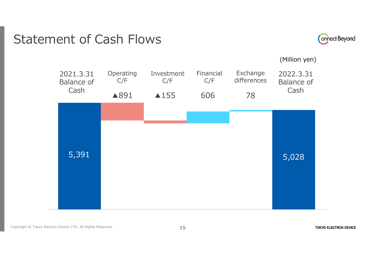### Statement of Cash Flows



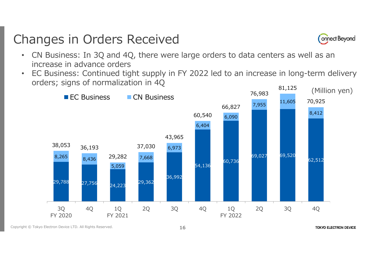### Changes in Orders Received



- CN Business: In 3Q and 4Q, there were large orders to data centers as well as an increase in advance orders
- EC Business: Continued tight supply in FY 2022 led to an increase in long-term delivery orders; signs of normalization in 4Q

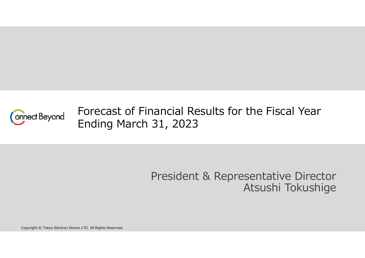

Forecast of Financial Results for the Fiscal Year Ending March 31, 2023

> President & Representative Director Atsushi Tokushige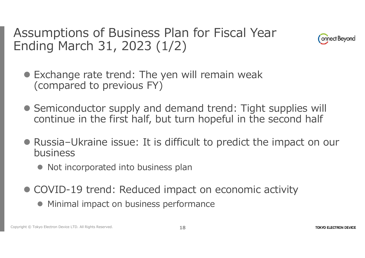Assumptions of Business Plan for Fiscal Year Ending March 31, 2023 (1/2)



- Exchange rate trend: The yen will remain weak (compared to previous FY)
- Semiconductor supply and demand trend: Tight supplies will continue in the first half, but turn hopeful in the second half
- Russia-Ukraine issue: It is difficult to predict the impact on our business
	- Not incorporated into business plan
- COVID-19 trend: Reduced impact on economic activity
	- Minimal impact on business performance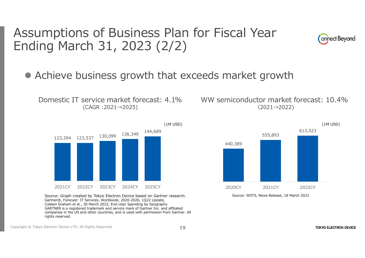Assumptions of Business Plan for Fiscal Year Ending March 31, 2023 (2/2)



Achieve business growth that exceeds market growth

Domestic IT service market forecast: 4.1% (CAGR :2021→2025)



Source: Graph created by Tokyo Electron Device based on Gartner research. Gartner®, Forecast: IT Services, Worldwide, 2020-2026, 1Q22 Update, Colleen Graham et al., 30 March 2022, End-User Spending by Geography GARTNER is a registered trademark and service mark of Gartner Inc. and affiliated companies in the US and other countries, and is used with permission from Gartner. All rights reserved.

WW semiconductor market forecast: 10.4%  $(2021 \rightarrow 2022)$ 

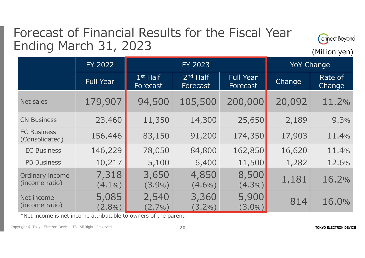### Forecast of Financial Results for the Fiscal Year Ending March 31, 2023



|                                      | FY 2022            | FY 2023                |                        |                              | <b>YoY Change</b> |                   |
|--------------------------------------|--------------------|------------------------|------------------------|------------------------------|-------------------|-------------------|
|                                      | <b>Full Year</b>   | $1st$ Half<br>Forecast | $2nd$ Half<br>Forecast | <b>Full Year</b><br>Forecast | Change            | Rate of<br>Change |
| Net sales                            | 179,907            | 94,500                 | 105,500                | 200,000                      | 20,092            | 11.2%             |
| <b>CN Business</b>                   | 23,460             | 11,350                 | 14,300                 | 25,650                       | 2,189             | 9.3%              |
| <b>EC Business</b><br>(Consolidated) | 156,446            | 83,150                 | 91,200                 | 174,350                      | 17,903            | 11.4%             |
| <b>EC Business</b>                   | 146,229            | 78,050                 | 84,800                 | 162,850                      | 16,620            | 11.4%             |
| <b>PB Business</b>                   | 10,217             | 5,100                  | 6,400                  | 11,500                       | 1,282             | 12.6%             |
| Ordinary income<br>(income ratio)    | 7,318<br>$(4.1\%)$ | 3,650<br>(3.9%)        | 4,850<br>$(4.6\%)$     | 8,500<br>(4.3%)              | 1,181             | 16.2%             |
| Net income<br>(income ratio)         | 5,085<br>$(2.8\%)$ | 2,540<br>$(2.7\%)$     | 3,360<br>$(3.2\%)$     | 5,900<br>$(3.0\%)$           | 814               | 16.0%             |

\*Net income is net income attributable to owners of the parent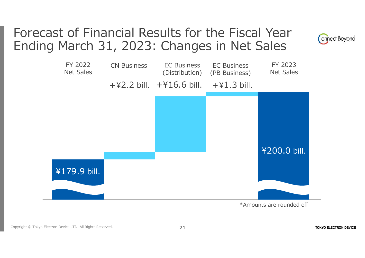### Forecast of Financial Results for the Fiscal Year Ending March 31, 2023: Changes in Net Sales





\*Amounts are rounded off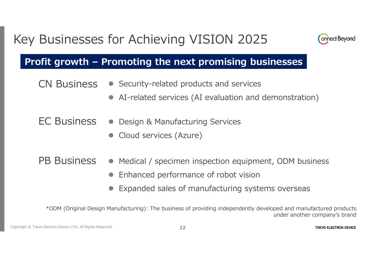### Key Businesses for Achieving VISION 2025



#### **Profit growth – Promoting the next promising businesses**

- Security-related products and services CN Business
	- AI-related services (AI evaluation and demonstration)
- Design & Manufacturing Services EC Business
	- Cloud services (Azure)

#### PB Business • Medical / specimen inspection equipment, ODM business

- Enhanced performance of robot vision
- Expanded sales of manufacturing systems overseas

\*ODM (Original Design Manufacturing): The business of providing independently developed and manufactured products under another company's brand

Copyright © Tokyo Electron Device LTD. All Rights Reserved. **22**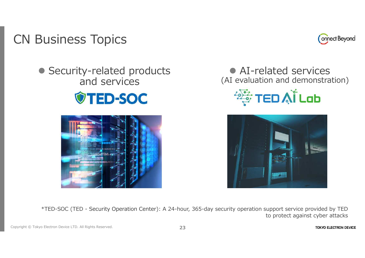### CN Business Topics



• Security-related products and services





 AI-related services (AI evaluation and demonstration)





\*TED-SOC (TED - Security Operation Center): A 24-hour, 365-day security operation support service provided by TED to protect against cyber attacks

**TOKYO ELECTRON DEVICE**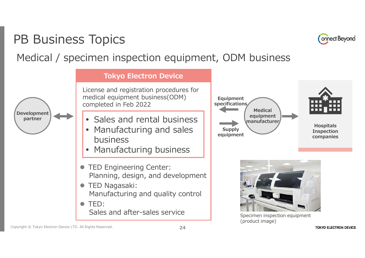### PB Business Topics



**TOKYO ELECTRON DEVICE** 

#### Medical / specimen inspection equipment, ODM business







Specimen inspection equipment (product image)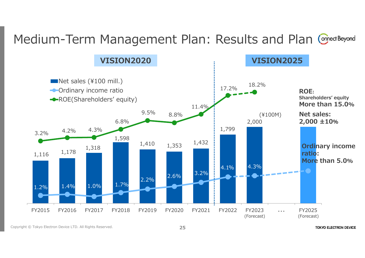### Medium-Term Management Plan: Results and Plan Connect Beyond



Copyright © Tokyo Electron Device LTD. All Rights Reserved. **25**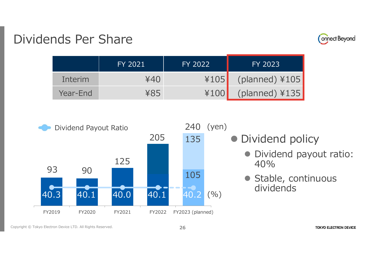### Dividends Per Share



|          | FY 2021     | FY 2022 | FY 2023          |
|----------|-------------|---------|------------------|
| Interim  | $\angle 40$ | 4105    | (planned) ¥105   |
| Year-End | ¥85         | ¥100    | $(planned)$ ¥135 |



• Dividend policy

- Dividend payout ratio: 40%
- Stable, continuous dividends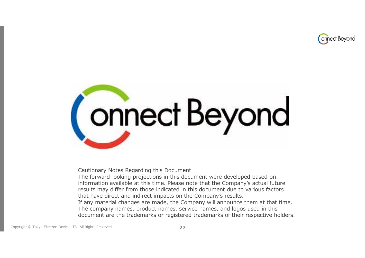



Cautionary Notes Regarding this Document

The forward-looking projections in this document were developed based on information available at this time. Please note that the Company's actual future results may differ from those indicated in this document due to various factors that have direct and indirect impacts on the Company's results. If any material changes are made, the Company will announce them at that time. The company names, product names, service names, and logos used in this document are the trademarks or registered trademarks of their respective holders.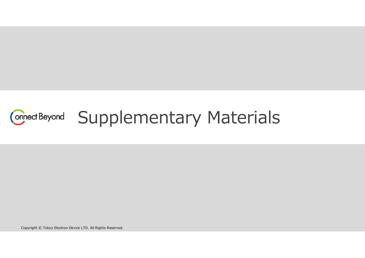# Connect Beyond Supplementary Materials

Copyright © Tokyo Electron Device LTD. All Rights Reserved. **288** 2022 2022 2023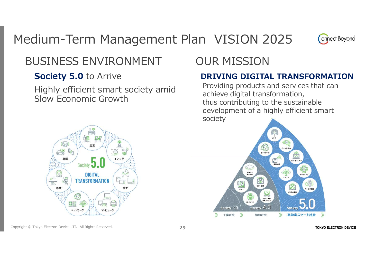### Medium-Term Management Plan VISION 2025



#### BUSINESS ENVIRONMENT

#### **Society 5.0** to Arrive

Highly efficient smart society amid Slow Economic Growth





#### **DRIVING DIGITAL TRANSFORMATION**

Providing products and services that can achieve digital transformation, thus contributing to the sustainable development of a highly efficient smart society

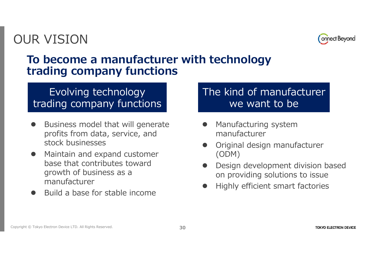### OUR VISION



### **To become a manufacturer with technology trading company functions**

#### Evolving technology trading company functions

- Business model that will generate profits from data, service, and stock businesses
- Maintain and expand customer base that contributes toward growth of business as a manufacturer
- Build a base for stable income

#### The kind of manufacturer we want to be

- Manufacturing system manufacturer
- Original design manufacturer (ODM)
- Design development division based on providing solutions to issue
- Highly efficient smart factories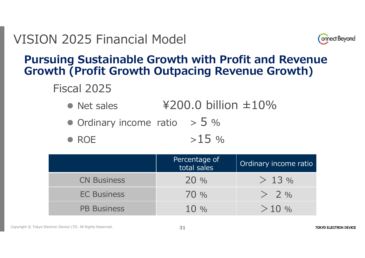### VISION 2025 Financial Model



#### **Pursuing Sustainable Growth with Profit and Revenue Growth (Profit Growth Outpacing Revenue Growth)**

### Fiscal 2025

- Net sales  $\overline{4200.0}$  billion  $\pm 10\%$
- Ordinary income ratio  $> 5\%$
- $\bullet$  ROE  $>15\%$

|                    | Percentage of<br>total sales | Ordinary income ratio |
|--------------------|------------------------------|-----------------------|
| <b>CN Business</b> | 20%                          | >13%                  |
| <b>EC Business</b> | 70 %                         | > 2 %                 |
| <b>PB Business</b> | $1()$ %                      | $>10\%$               |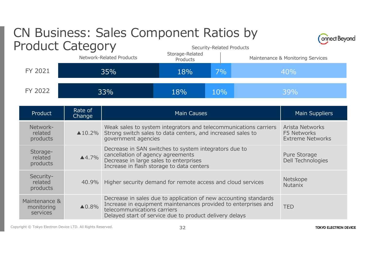#### CN Business: Sales Component Ratios by Product Category Security-Related Products

| TUUUCC CUCCYUTY                         |                        | Network-Related Products                                                                                                                                                                                                     | Storage-Related<br>Products                                                                                                                                                                                                | Scearity included in buddes |     | Maintenance & Monitoring Services |  |
|-----------------------------------------|------------------------|------------------------------------------------------------------------------------------------------------------------------------------------------------------------------------------------------------------------------|----------------------------------------------------------------------------------------------------------------------------------------------------------------------------------------------------------------------------|-----------------------------|-----|-----------------------------------|--|
| FY 2021                                 |                        | 35%                                                                                                                                                                                                                          | 7%<br>18%                                                                                                                                                                                                                  |                             |     | 40%                               |  |
| FY 2022                                 |                        | 33%                                                                                                                                                                                                                          | 18%<br>10%                                                                                                                                                                                                                 |                             | 39% |                                   |  |
| Product                                 | Rate of<br>Change      |                                                                                                                                                                                                                              | <b>Main Causes</b>                                                                                                                                                                                                         |                             |     |                                   |  |
| Network-<br>related<br>products         | $\triangle 10.2\%$     |                                                                                                                                                                                                                              | Weak sales to system integrators and telecommunications carriers<br><b>Arista Networks</b><br>Strong switch sales to data centers, and increased sales to<br>F5 Networks<br>government agencies<br><b>Extreme Networks</b> |                             |     |                                   |  |
| Storage-<br>related<br>products         | $4.7\%$                |                                                                                                                                                                                                                              | Decrease in SAN switches to system integrators due to<br>cancellation of agency agreements<br>Pure Storage<br>Decrease in large sales to enterprises<br>Dell Technologies<br>Increase in flash storage to data centers     |                             |     |                                   |  |
| Security-<br>related<br>products        | 40.9%                  |                                                                                                                                                                                                                              | Higher security demand for remote access and cloud services                                                                                                                                                                |                             |     | Netskope<br><b>Nutanix</b>        |  |
| Maintenance &<br>monitoring<br>services | $\blacktriangle 0.8\%$ | Decrease in sales due to application of new accounting standards<br>Increase in equipment maintenances provided to enterprises and<br>telecommunications carriers<br>Delayed start of service due to product delivery delays |                                                                                                                                                                                                                            |                             |     | <b>TED</b>                        |  |

Copyright © Tokyo Electron Device LTD. All Rights Reserved. **32**

**Onnect Beyond**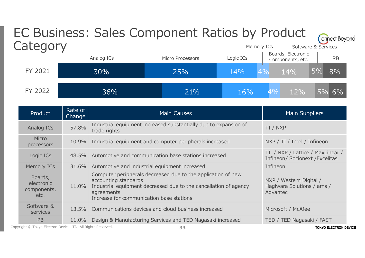#### EC Business: Sales Component Ratios by Product onnect Beyond **Category** Software & Services Memory ICs Boards, Electronic Analog ICs Micro Processors Logic ICs PB Components, etc. FY 2021 30% 25% 14% 4% 14% 5% 8% FY 202236% 21% 16% 4% 12% 5% 6% Rate of **Product** Main Causes Main Suppliers Change Analog ICs 57.8% Industrial equipment increased substantially due to expansion of TI / NXP trade rights Micro 10.9% Industrial equipment and computer peripherals increased NXP / TI / Intel / Infineon processors TI / NXP / Lattice / MaxLinear / Logic ICs 48.5% Automotive and communication base stations increased Infineon/ Socionext /Excelitas Memory ICs 31.6% Automotive and industrial equipment increased Infineon Computer peripherals decreased due to the application of new Boards, accounting standards NXP / Western Digital / electronic 11.0% Industrial equipment decreased due to the cancellation of agency Hagiwara Solutions / ams / components, agreements Advantec etc. Increase for communication base stations Software & 13.5% Communications devices and cloud business increased Microsoft / McAfee services PB 11.0% Design & Manufacturing Services and TED Nagasaki increased TED / TED Nagasaki / FAST

Copyright © Tokyo Electron Device LTD. All Rights Reserved. **33**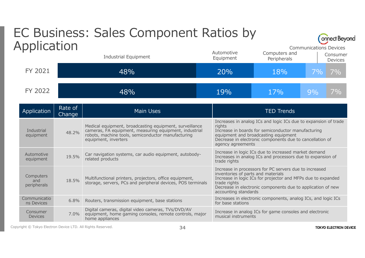#### EC Business: Sales Component Ratios by Application Automotive

| . .                             |                   | <b>Industrial Equipment</b>                                                                                                                                                                     |  |                                                                                                                                                                                                                                                                     | Computers and<br>Peripherals                                                                                       |    | Consumer<br><b>Devices</b> |  |  |  |
|---------------------------------|-------------------|-------------------------------------------------------------------------------------------------------------------------------------------------------------------------------------------------|--|---------------------------------------------------------------------------------------------------------------------------------------------------------------------------------------------------------------------------------------------------------------------|--------------------------------------------------------------------------------------------------------------------|----|----------------------------|--|--|--|
| FY 2021                         |                   | 48%                                                                                                                                                                                             |  |                                                                                                                                                                                                                                                                     | 18%                                                                                                                | 7% | 7%                         |  |  |  |
| FY 2022                         | 48%               |                                                                                                                                                                                                 |  | 19%<br>17%<br>9%                                                                                                                                                                                                                                                    |                                                                                                                    |    |                            |  |  |  |
| Application                     | Rate of<br>Change | <b>Main Uses</b>                                                                                                                                                                                |  | <b>TED Trends</b>                                                                                                                                                                                                                                                   |                                                                                                                    |    |                            |  |  |  |
| Industrial<br>equipment         | 48.2%             | Medical equipment, broadcasting equipment, surveillance<br>cameras, FA equipment, measuring equipment, industrial<br>robots, machine tools, semiconductor manufacturing<br>equipment, inverters |  | Increases in analog ICs and logic ICs due to expansion of trade<br>rights<br>Increase in boards for semiconductor manufacturing<br>equipment and broadcasting equipment<br>Decrease in electronic components due to cancellation of<br>agency agreements            |                                                                                                                    |    |                            |  |  |  |
| Automotive<br>equipment         | 19.5%             | Car navigation systems, car audio equipment, autobody-<br>related products                                                                                                                      |  | trade rights                                                                                                                                                                                                                                                        | Increase in logic ICs due to increased market demand<br>Increases in analog ICs and processors due to expansion of |    |                            |  |  |  |
| Computers<br>and<br>peripherals | 18.5%             | Multifunctional printers, projectors, office equipment,<br>storage, servers, PCs and peripheral devices, POS terminals                                                                          |  | Increase in processors for PC servers due to increased<br>inventories of parts and materials<br>Increase in logic ICs for projector and MFPs due to expanded<br>trade rights<br>Decrease in electronic components due to application of new<br>accounting standards |                                                                                                                    |    |                            |  |  |  |
| Communicatio<br>ns Devices      | 6.8%              | Routers, transmission equipment, base stations                                                                                                                                                  |  | for base stations                                                                                                                                                                                                                                                   | Increases in electronic components, analog ICs, and logic ICs                                                      |    |                            |  |  |  |
| Consumer<br><b>Devices</b>      | 7.0%              | Digital cameras, digital video cameras, TVs/DVD/AV<br>equipment, home gaming consoles, remote controls, major<br>home appliances                                                                |  | musical instruments                                                                                                                                                                                                                                                 | Increase in analog ICs for game consoles and electronic                                                            |    |                            |  |  |  |

Copyright © Tokyo Electron Device LTD. All Rights Reserved. **34**

Communications Devices

onnect Beyond